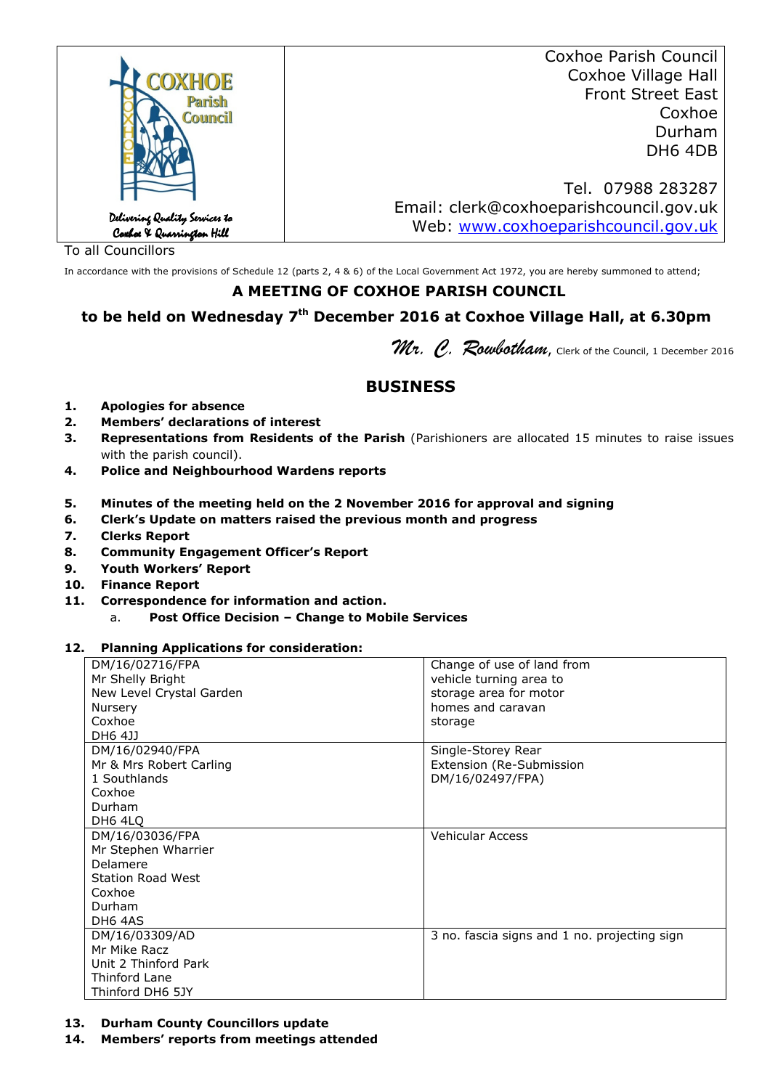|                                                             | Coxhoe Parish Council                   |
|-------------------------------------------------------------|-----------------------------------------|
| <b>OXHOE</b>                                                | Coxhoe Village Hall                     |
| Parish                                                      | <b>Front Street East</b>                |
| <b>Council</b>                                              | Coxhoe                                  |
|                                                             | Durham                                  |
|                                                             | DH6 4DB                                 |
|                                                             |                                         |
|                                                             | Tel. 07988 283287                       |
|                                                             | Email: clerk@coxhoeparishcouncil.gov.uk |
| Delivering Quality Services to<br>Coxhoe X Quarrington Hill | Web: www.coxhoeparishcouncil.gov.uk     |
|                                                             |                                         |

To all Councillors

In accordance with the provisions of Schedule 12 (parts 2, 4 & 6) of the Local Government Act 1972, you are hereby summoned to attend;

## **A MEETING OF COXHOE PARISH COUNCIL**

# **to be held on Wednesday 7th December 2016 at Coxhoe Village Hall, at 6.30pm**

Mr. C. Roubotham, Clerk of the Council, 1 December 2016

# **BUSINESS**

- **1. Apologies for absence**
- **2. Members' declarations of interest**
- **3. Representations from Residents of the Parish** (Parishioners are allocated 15 minutes to raise issues with the parish council).
- **4. Police and Neighbourhood Wardens reports**
- **5. Minutes of the meeting held on the 2 November 2016 for approval and signing**
- **6. Clerk's Update on matters raised the previous month and progress**
- **7. Clerks Report**
- **8. Community Engagement Officer's Report**
- **9. Youth Workers' Report**
- **10. Finance Report**
- **11. Correspondence for information and action.**
	- a. **Post Office Decision Change to Mobile Services**

#### **12. Planning Applications for consideration:**

| Mr Shelly Bright<br>vehicle turning area to<br>New Level Crystal Garden<br>storage area for motor<br>homes and caravan<br>Nursery<br>Coxhoe<br>storage<br>DH6 4JJ<br>DM/16/02940/FPA<br>Single-Storey Rear<br>Mr & Mrs Robert Carling<br>Extension (Re-Submission<br>DM/16/02497/FPA)<br>1 Southlands<br>Coxhoe<br>Durham<br>DH6 4LO<br>Vehicular Access<br>DM/16/03036/FPA<br>Mr Stephen Wharrier<br>Delamere<br><b>Station Road West</b><br>Coxhoe<br>Durham<br>DH6 4AS<br>DM/16/03309/AD<br>3 no. fascia signs and 1 no. projecting sign<br>Mr Mike Racz<br>Unit 2 Thinford Park<br>Thinford Lane |                  |                            |
|------------------------------------------------------------------------------------------------------------------------------------------------------------------------------------------------------------------------------------------------------------------------------------------------------------------------------------------------------------------------------------------------------------------------------------------------------------------------------------------------------------------------------------------------------------------------------------------------------|------------------|----------------------------|
|                                                                                                                                                                                                                                                                                                                                                                                                                                                                                                                                                                                                      | DM/16/02716/FPA  | Change of use of land from |
|                                                                                                                                                                                                                                                                                                                                                                                                                                                                                                                                                                                                      |                  |                            |
|                                                                                                                                                                                                                                                                                                                                                                                                                                                                                                                                                                                                      |                  |                            |
|                                                                                                                                                                                                                                                                                                                                                                                                                                                                                                                                                                                                      |                  |                            |
|                                                                                                                                                                                                                                                                                                                                                                                                                                                                                                                                                                                                      |                  |                            |
|                                                                                                                                                                                                                                                                                                                                                                                                                                                                                                                                                                                                      |                  |                            |
|                                                                                                                                                                                                                                                                                                                                                                                                                                                                                                                                                                                                      |                  |                            |
|                                                                                                                                                                                                                                                                                                                                                                                                                                                                                                                                                                                                      |                  |                            |
|                                                                                                                                                                                                                                                                                                                                                                                                                                                                                                                                                                                                      |                  |                            |
|                                                                                                                                                                                                                                                                                                                                                                                                                                                                                                                                                                                                      |                  |                            |
|                                                                                                                                                                                                                                                                                                                                                                                                                                                                                                                                                                                                      |                  |                            |
|                                                                                                                                                                                                                                                                                                                                                                                                                                                                                                                                                                                                      |                  |                            |
|                                                                                                                                                                                                                                                                                                                                                                                                                                                                                                                                                                                                      |                  |                            |
|                                                                                                                                                                                                                                                                                                                                                                                                                                                                                                                                                                                                      |                  |                            |
|                                                                                                                                                                                                                                                                                                                                                                                                                                                                                                                                                                                                      |                  |                            |
|                                                                                                                                                                                                                                                                                                                                                                                                                                                                                                                                                                                                      |                  |                            |
|                                                                                                                                                                                                                                                                                                                                                                                                                                                                                                                                                                                                      |                  |                            |
|                                                                                                                                                                                                                                                                                                                                                                                                                                                                                                                                                                                                      |                  |                            |
|                                                                                                                                                                                                                                                                                                                                                                                                                                                                                                                                                                                                      |                  |                            |
|                                                                                                                                                                                                                                                                                                                                                                                                                                                                                                                                                                                                      |                  |                            |
|                                                                                                                                                                                                                                                                                                                                                                                                                                                                                                                                                                                                      |                  |                            |
|                                                                                                                                                                                                                                                                                                                                                                                                                                                                                                                                                                                                      |                  |                            |
|                                                                                                                                                                                                                                                                                                                                                                                                                                                                                                                                                                                                      |                  |                            |
|                                                                                                                                                                                                                                                                                                                                                                                                                                                                                                                                                                                                      | Thinford DH6 5JY |                            |

#### **13. Durham County Councillors update**

**14. Members' reports from meetings attended**